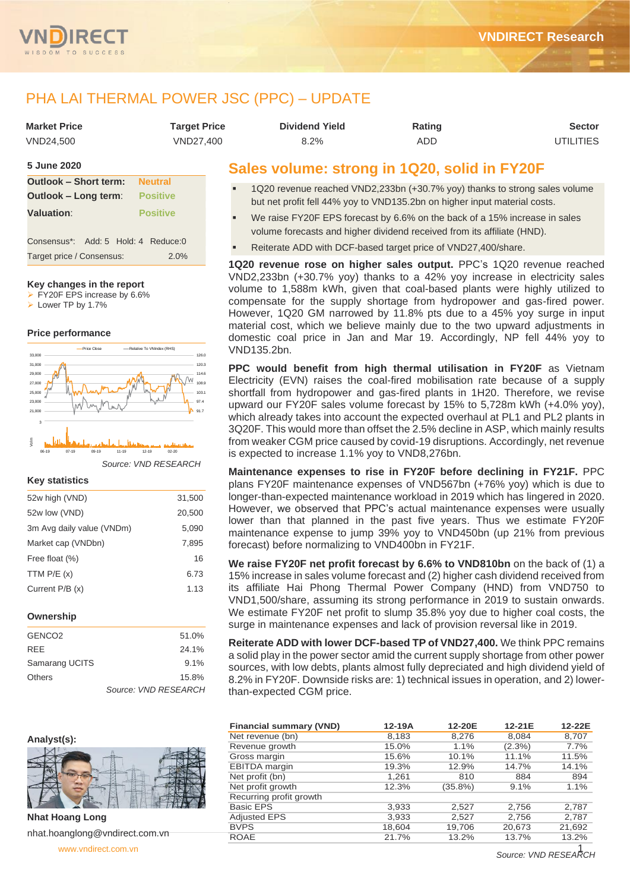

## PHA LAI THERMAL POWER JSC (PPC) – UPDATE

| <b>Market Price</b> | Tarqet Price | <b>Dividend Yield</b> | Rating | Sector    |
|---------------------|--------------|-----------------------|--------|-----------|
| VND24.500           | VND27.400    | 8.2%                  | ADD    | UTILITIES |

#### **5 June 2020**

| Outlook - Short term: Neutral        |                 |
|--------------------------------------|-----------------|
| <b>Outlook – Long term:</b>          | <b>Positive</b> |
| <b>Valuation:</b>                    | <b>Positive</b> |
|                                      |                 |
| Consensus*: Add: 5 Hold: 4 Reduce: 0 |                 |
| Target price / Consensus:            | 2.0%            |

#### **Key changes in the report**

➢ FY20F EPS increase by 6.6%

➢ Lower TP by 1.7%

#### **Price performance**



*Source: VND RESEARCH*

#### **Key statistics**

| 52w high (VND)            | 31,500 |
|---------------------------|--------|
| 52w low (VND)             | 20,500 |
| 3m Avg daily value (VNDm) | 5,090  |
| Market cap (VNDbn)        | 7,895  |
| Free float (%)            | 16     |
| TTM $P/E(x)$              | 6.73   |
| Current P/B (x)           | 1.13   |
|                           |        |

#### **Ownership**

| GENCO <sub>2</sub> | 51.0%                |
|--------------------|----------------------|
| <b>RFF</b>         | 24.1%                |
| Samarang UCITS     | 9.1%                 |
| <b>Others</b>      | 15.8%                |
|                    | Source: VND RESEARCH |



**Nhat Hoang Long**  nhat.hoanglong@vndirect.com.vn

[www.vndirect.com.vn](file:///C:/Users/Default/AppData/Local/Temp/www.vndirect.com.vn) 1

## **Sales volume: strong in 1Q20, solid in FY20F**

- 1Q20 revenue reached VND2,233bn (+30.7% yoy) thanks to strong sales volume but net profit fell 44% yoy to VND135.2bn on higher input material costs.
- We raise FY20F EPS forecast by 6.6% on the back of a 15% increase in sales volume forecasts and higher dividend received from its affiliate (HND).
- Reiterate ADD with DCF-based target price of VND27,400/share.

**1Q20 revenue rose on higher sales output.** PPC's 1Q20 revenue reached VND2,233bn (+30.7% yoy) thanks to a 42% yoy increase in electricity sales volume to 1,588m kWh, given that coal-based plants were highly utilized to compensate for the supply shortage from hydropower and gas-fired power. However, 1Q20 GM narrowed by 11.8% pts due to a 45% yoy surge in input material cost, which we believe mainly due to the two upward adjustments in domestic coal price in Jan and Mar 19. Accordingly, NP fell 44% yoy to VND135.2bn.

**PPC would benefit from high thermal utilisation in FY20F** as Vietnam Electricity (EVN) raises the coal-fired mobilisation rate because of a supply shortfall from hydropower and gas-fired plants in 1H20. Therefore, we revise upward our FY20F sales volume forecast by 15% to 5,728m kWh (+4.0% yoy), which already takes into account the expected overhaul at PL1 and PL2 plants in 3Q20F. This would more than offset the 2.5% decline in ASP, which mainly results from weaker CGM price caused by covid-19 disruptions. Accordingly, net revenue is expected to increase 1.1% yoy to VND8,276bn.

**Maintenance expenses to rise in FY20F before declining in FY21F.** PPC plans FY20F maintenance expenses of VND567bn (+76% yoy) which is due to longer-than-expected maintenance workload in 2019 which has lingered in 2020. However, we observed that PPC's actual maintenance expenses were usually lower than that planned in the past five years. Thus we estimate FY20F maintenance expense to jump 39% yoy to VND450bn (up 21% from previous forecast) before normalizing to VND400bn in FY21F.

**We raise FY20F net profit forecast by 6.6% to VND810bn** on the back of (1) a 15% increase in sales volume forecast and (2) higher cash dividend received from its affiliate Hai Phong Thermal Power Company (HND) from VND750 to VND1,500/share, assuming its strong performance in 2019 to sustain onwards. We estimate FY20F net profit to slump 35.8% yoy due to higher coal costs, the surge in maintenance expenses and lack of provision reversal like in 2019.

**Reiterate ADD with lower DCF-based TP of VND27,400.** We think PPC remains a solid play in the power sector amid the current supply shortage from other power sources, with low debts, plants almost fully depreciated and high dividend yield of 8.2% in FY20F. Downside risks are: 1) technical issues in operation, and 2) lowerthan-expected CGM price.

| <b>Financial summary (VND)</b> | $12-19A$ | 12-20E     | 12-21E    | 12-22E |
|--------------------------------|----------|------------|-----------|--------|
| Net revenue (bn)               | 8.183    | 8,276      | 8.084     | 8,707  |
| Revenue growth                 | 15.0%    | 1.1%       | $(2.3\%)$ | 7.7%   |
| Gross margin                   | 15.6%    | 10.1%      | 11.1%     | 11.5%  |
| <b>EBITDA</b> margin           | 19.3%    | 12.9%      | 14.7%     | 14.1%  |
| Net profit (bn)                | 1,261    | 810        | 884       | 894    |
| Net profit growth              | 12.3%    | $(35.8\%)$ | 9.1%      | 1.1%   |
| Recurring profit growth        |          |            |           |        |
| <b>Basic EPS</b>               | 3,933    | 2,527      | 2,756     | 2,787  |
| <b>Adjusted EPS</b>            | 3,933    | 2,527      | 2,756     | 2,787  |
| <b>BVPS</b>                    | 18,604   | 19,706     | 20,673    | 21,692 |
| <b>ROAE</b>                    | 21.7%    | 13.2%      | 13.7%     | 13.2%  |

*Source: VND RESEARCH*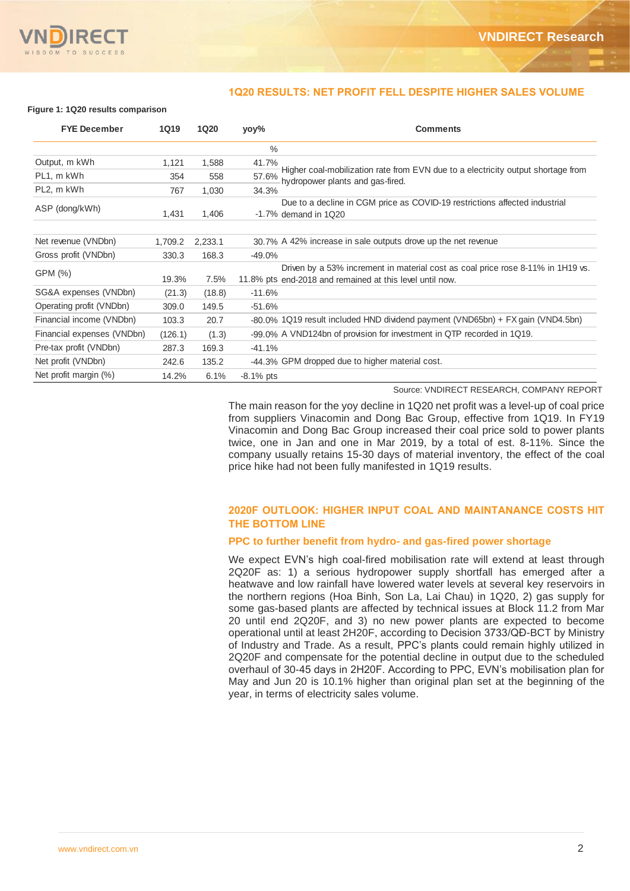

#### **1Q20 RESULTS: NET PROFIT FELL DESPITE HIGHER SALES VOLUME**

#### **Figure 1: 1Q20 results comparison**

| <b>FYE December</b>        | <b>1Q19</b> | <b>1Q20</b> | yoy%          | <b>Comments</b>                                                                                                                             |
|----------------------------|-------------|-------------|---------------|---------------------------------------------------------------------------------------------------------------------------------------------|
|                            |             |             | $\frac{0}{0}$ |                                                                                                                                             |
| Output, m kWh              | 1,121       | 1,588       | 41.7%         |                                                                                                                                             |
| PL1, m kWh                 | 354         | 558         | 57.6%         | Higher coal-mobilization rate from EVN due to a electricity output shortage from<br>hydropower plants and gas-fired.                        |
| PL2, m kWh                 | 767         | 1,030       | 34.3%         |                                                                                                                                             |
| ASP (dong/kWh)             | 1,431       | 1,406       |               | Due to a decline in CGM price as COVID-19 restrictions affected industrial<br>$-1.7\%$ demand in 1Q20                                       |
| Net revenue (VNDbn)        | 1,709.2     | 2,233.1     |               | 30.7% A 42% increase in sale outputs drove up the net revenue                                                                               |
| Gross profit (VNDbn)       | 330.3       | 168.3       | $-49.0%$      |                                                                                                                                             |
| GPM (%)                    | 19.3%       | 7.5%        |               | Driven by a 53% increment in material cost as coal price rose 8-11% in 1H19 vs.<br>11.8% pts end-2018 and remained at this level until now. |
| SG&A expenses (VNDbn)      | (21.3)      | (18.8)      | $-11.6%$      |                                                                                                                                             |
| Operating profit (VNDbn)   | 309.0       | 149.5       | $-51.6%$      |                                                                                                                                             |
| Financial income (VNDbn)   | 103.3       | 20.7        |               | -80.0% 1Q19 result included HND dividend payment (VND65bn) + FX gain (VND4.5bn)                                                             |
| Financial expenses (VNDbn) | (126.1)     | (1.3)       |               | -99.0% A VND124bn of provision for investment in QTP recorded in 1Q19.                                                                      |
| Pre-tax profit (VNDbn)     | 287.3       | 169.3       | $-41.1%$      |                                                                                                                                             |
| Net profit (VNDbn)         | 242.6       | 135.2       |               | -44.3% GPM dropped due to higher material cost.                                                                                             |
| Net profit margin (%)      | 14.2%       | 6.1%        | $-8.1\%$ pts  |                                                                                                                                             |

Source: VNDIRECT RESEARCH, COMPANY REPORT

The main reason for the yoy decline in 1Q20 net profit was a level-up of coal price from suppliers Vinacomin and Dong Bac Group, effective from 1Q19. In FY19 Vinacomin and Dong Bac Group increased their coal price sold to power plants twice, one in Jan and one in Mar 2019, by a total of est. 8-11%. Since the company usually retains 15-30 days of material inventory, the effect of the coal price hike had not been fully manifested in 1Q19 results.

#### **2020F OUTLOOK: HIGHER INPUT COAL AND MAINTANANCE COSTS HIT THE BOTTOM LINE**

#### **PPC to further benefit from hydro- and gas-fired power shortage**

We expect EVN's high coal-fired mobilisation rate will extend at least through 2Q20F as: 1) a serious hydropower supply shortfall has emerged after a heatwave and low rainfall have lowered water levels at several key reservoirs in the northern regions (Hoa Binh, Son La, Lai Chau) in 1Q20, 2) gas supply for some gas-based plants are affected by technical issues at Block 11.2 from Mar 20 until end 2Q20F, and 3) no new power plants are expected to become operational until at least 2H20F, according to Decision 3733/QĐ-BCT by Ministry of Industry and Trade. As a result, PPC's plants could remain highly utilized in 2Q20F and compensate for the potential decline in output due to the scheduled overhaul of 30-45 days in 2H20F. According to PPC, EVN's mobilisation plan for May and Jun 20 is 10.1% higher than original plan set at the beginning of the year, in terms of electricity sales volume.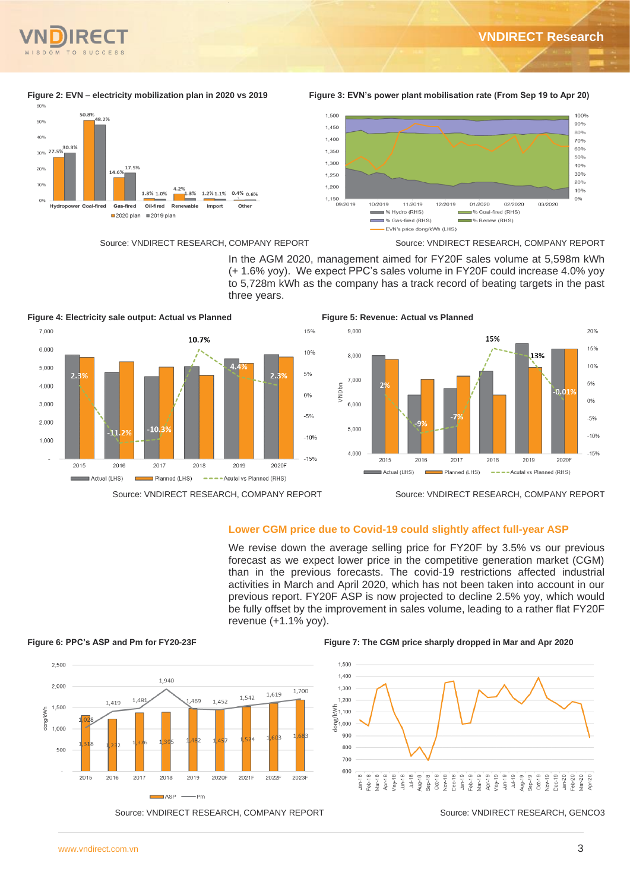



**Figure 2: EVN – electricity mobilization plan in 2020 vs 2019 Figure 3: EVN's power plant mobilisation rate (From Sep 19 to Apr 20)**



Source: VNDIRECT RESEARCH, COMPANY REPORT Source: VNDIRECT RESEARCH, COMPANY REPORT



In the AGM 2020, management aimed for FY20F sales volume at 5,598m kWh (+ 1.6% yoy). We expect PPC's sales volume in FY20F could increase 4.0% yoy to 5,728m kWh as the company has a track record of beating targets in the past three years.





Source: VNDIRECT RESEARCH, COMPANY REPORT Source: VNDIRECT RESEARCH, COMPANY REPORT

### **Lower CGM price due to Covid-19 could slightly affect full-year ASP**

We revise down the average selling price for FY20F by 3.5% vs our previous forecast as we expect lower price in the competitive generation market (CGM) than in the previous forecasts. The covid-19 restrictions affected industrial activities in March and April 2020, which has not been taken into account in our previous report. FY20F ASP is now projected to decline 2.5% yoy, which would be fully offset by the improvement in sales volume, leading to a rather flat FY20F revenue (+1.1% yoy).



**Figure 6: PPC's ASP and Pm for FY20-23F Figure 7: The CGM price sharply dropped in Mar and Apr 2020**

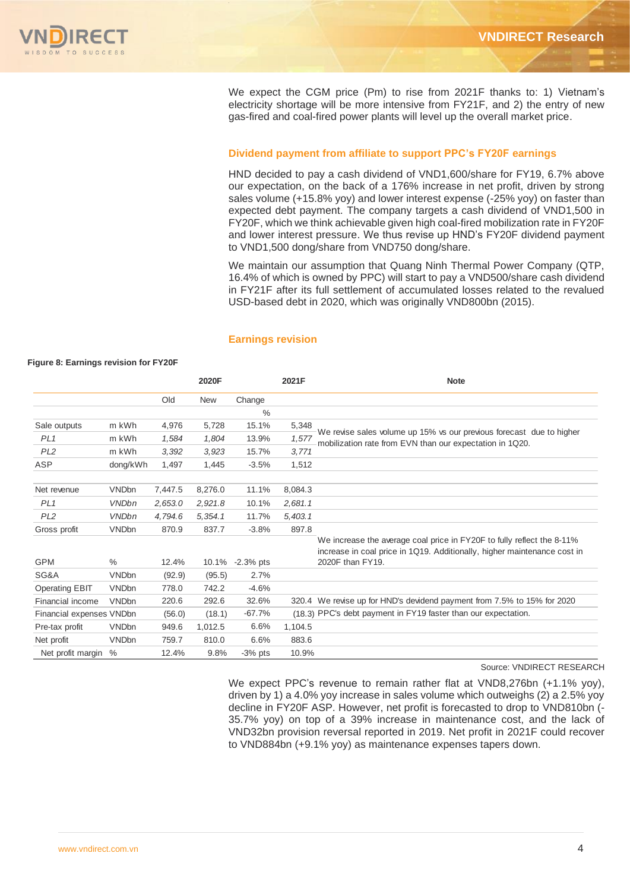We expect the CGM price (Pm) to rise from 2021F thanks to: 1) Vietnam's electricity shortage will be more intensive from FY21F, and 2) the entry of new gas-fired and coal-fired power plants will level up the overall market price.

#### **Dividend payment from affiliate to support PPC's FY20F earnings**

HND decided to pay a cash dividend of VND1,600/share for FY19, 6.7% above our expectation, on the back of a 176% increase in net profit, driven by strong sales volume (+15.8% yoy) and lower interest expense (-25% yoy) on faster than expected debt payment. The company targets a cash dividend of VND1,500 in FY20F, which we think achievable given high coal-fired mobilization rate in FY20F and lower interest pressure. We thus revise up HND's FY20F dividend payment to VND1,500 dong/share from VND750 dong/share.

We maintain our assumption that Quang Ninh Thermal Power Company (QTP, 16.4% of which is owned by PPC) will start to pay a VND500/share cash dividend in FY21F after its full settlement of accumulated losses related to the revalued USD-based debt in 2020, which was originally VND800bn (2015).

#### **Earnings revision**

|                          |              |         | 2020F      |             | 2021F   | <b>Note</b>                                                                                                                                        |
|--------------------------|--------------|---------|------------|-------------|---------|----------------------------------------------------------------------------------------------------------------------------------------------------|
|                          |              | Old     | <b>New</b> | Change      |         |                                                                                                                                                    |
|                          |              |         |            | $\%$        |         |                                                                                                                                                    |
| Sale outputs             | m kWh        | 4,976   | 5,728      | 15.1%       | 5,348   |                                                                                                                                                    |
| PL <sub>1</sub>          | m kWh        | 1,584   | 1,804      | 13.9%       | 1,577   | We revise sales volume up 15% vs our previous forecast due to higher<br>mobilization rate from EVN than our expectation in 1Q20.                   |
| PL <sub>2</sub>          | m kWh        | 3,392   | 3.923      | 15.7%       | 3,771   |                                                                                                                                                    |
| <b>ASP</b>               | dong/kWh     | 1.497   | 1.445      | $-3.5%$     | 1,512   |                                                                                                                                                    |
| Net revenue              | <b>VNDbn</b> | 7,447.5 | 8,276.0    | 11.1%       | 8,084.3 |                                                                                                                                                    |
| PL <sub>1</sub>          | <b>VNDbn</b> | 2.653.0 | 2,921.8    | 10.1%       | 2,681.1 |                                                                                                                                                    |
| PL <sub>2</sub>          | <b>VNDbn</b> | 4.794.6 | 5.354.1    | 11.7%       | 5,403.1 |                                                                                                                                                    |
| Gross profit             | <b>VNDbn</b> | 870.9   | 837.7      | $-3.8%$     | 897.8   |                                                                                                                                                    |
|                          |              |         |            |             |         | We increase the average coal price in FY20F to fully reflect the 8-11%<br>increase in coal price in 1Q19. Additionally, higher maintenance cost in |
| <b>GPM</b>               | $\%$         | 12.4%   | 10.1%      | $-2.3%$ pts |         | 2020F than FY19.                                                                                                                                   |
| SG&A                     | <b>VNDbn</b> | (92.9)  | (95.5)     | 2.7%        |         |                                                                                                                                                    |
| <b>Operating EBIT</b>    | <b>VNDbn</b> | 778.0   | 742.2      | $-4.6%$     |         |                                                                                                                                                    |
| Financial income         | <b>VNDbn</b> | 220.6   | 292.6      | 32.6%       |         | 320.4 We revise up for HND's devidend payment from 7.5% to 15% for 2020                                                                            |
| Financial expenses VNDbn |              | (56.0)  | (18.1)     | $-67.7%$    |         | (18.3) PPC's debt payment in FY19 faster than our expectation.                                                                                     |
| Pre-tax profit           | <b>VNDbn</b> | 949.6   | 1,012.5    | 6.6%        | 1,104.5 |                                                                                                                                                    |
| Net profit               | <b>VNDbn</b> | 759.7   | 810.0      | 6.6%        | 883.6   |                                                                                                                                                    |
| Net profit margin %      |              | 12.4%   | 9.8%       | $-3%$ pts   | 10.9%   |                                                                                                                                                    |

## **Figure 8: Earnings revision for FY20F**

Source: VNDIRECT RESEARCH

We expect PPC's revenue to remain rather flat at VND8,276bn (+1.1% yoy), driven by 1) a 4.0% yoy increase in sales volume which outweighs (2) a 2.5% yoy decline in FY20F ASP. However, net profit is forecasted to drop to VND810bn (- 35.7% yoy) on top of a 39% increase in maintenance cost, and the lack of VND32bn provision reversal reported in 2019. Net profit in 2021F could recover to VND884bn (+9.1% yoy) as maintenance expenses tapers down.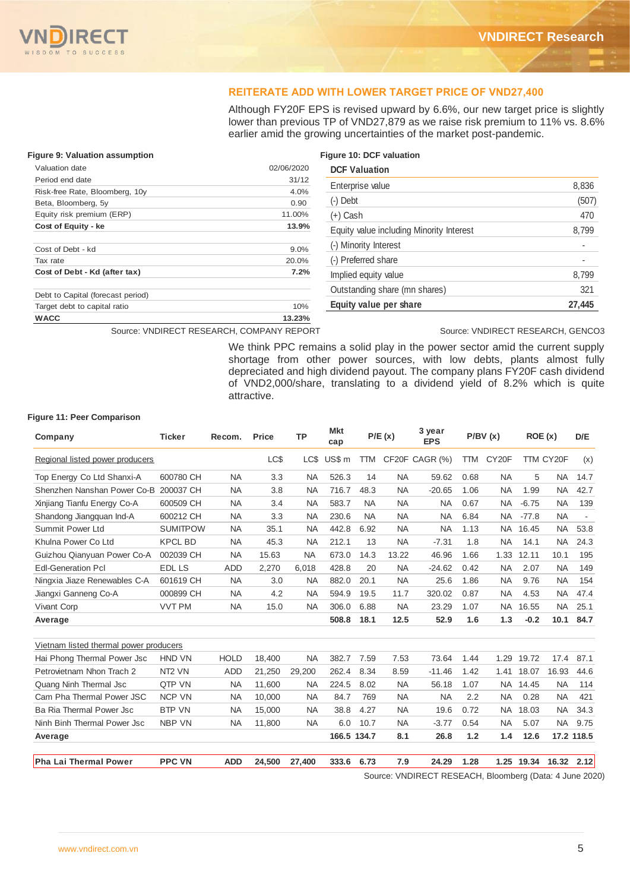#### **REITERATE ADD WITH LOWER TARGET PRICE OF VND27,400**

Although FY20F EPS is revised upward by 6.6%, our new target price is slightly lower than previous TP of VND27,879 as we raise risk premium to 11% vs. 8.6% earlier amid the growing uncertainties of the market post-pandemic.

#### **Figure 9: Valuation assumption Figure 10: DCF valuation**

| Valuation date                    | 02/06/2020 |
|-----------------------------------|------------|
| Period end date                   | 31/12      |
| Risk-free Rate, Bloomberg, 10y    | 4.0%       |
| Beta, Bloomberg, 5y               | 0.90       |
| Equity risk premium (ERP)         | 11.00%     |
| Cost of Equity - ke               | 13.9%      |
| Cost of Debt - kd                 | 9.0%       |
| Tax rate                          | 20.0%      |
| Cost of Debt - Kd (after tax)     | 7.2%       |
| Debt to Capital (forecast period) |            |
| Target debt to capital ratio      | 10%        |
| <b>WACC</b>                       | 13.23%     |

| <b>DCF Valuation</b>                     |        |
|------------------------------------------|--------|
| Enterprise value                         | 8,836  |
| $(-)$ Debt                               | (507)  |
| $(+)$ Cash                               | 470    |
| Equity value including Minority Interest | 8,799  |
| (-) Minority Interest                    |        |
| (-) Preferred share                      |        |
| Implied equity value                     | 8,799  |
| Outstanding share (mn shares)            | 321    |
| Equity value per share                   | 27.445 |

Source: VNDIRECT RESEARCH, COMPANY REPORT Source: VNDIRECT RESEARCH, GENCO3

We think PPC remains a solid play in the power sector amid the current supply shortage from other power sources, with low debts, plants almost fully depreciated and high dividend payout. The company plans FY20F cash dividend of VND2,000/share, translating to a dividend yield of 8.2% which is quite attractive.

#### **Figure 11: Peer Comparison**

| Company                                | <b>Ticker</b>      | Recom.      | <b>Price</b> | <b>TP</b> | <b>Mkt</b><br>cap |            | P/E(x)    | 3 year<br><b>EPS</b> |            | P/BV(x)            | ROE(x)  |           | D/E        |
|----------------------------------------|--------------------|-------------|--------------|-----------|-------------------|------------|-----------|----------------------|------------|--------------------|---------|-----------|------------|
| Regional listed power producers        |                    |             | LC\$         | LC\$      | US\$ m            | <b>TTM</b> |           | CF20F CAGR (%)       | <b>TTM</b> | CY <sub>20</sub> F |         | TTM CY20F | (x)        |
| Top Energy Co Ltd Shanxi-A             | 600780 CH          | <b>NA</b>   | 3.3          | <b>NA</b> | 526.3             | 14         | <b>NA</b> | 59.62                | 0.68       | <b>NA</b>          | 5       | <b>NA</b> | 14.7       |
| Shenzhen Nanshan Power Co-B            | 200037 CH          | <b>NA</b>   | 3.8          | <b>NA</b> | 716.7             | 48.3       | <b>NA</b> | $-20.65$             | 1.06       | <b>NA</b>          | 1.99    | <b>NA</b> | 42.7       |
| Xinjiang Tianfu Energy Co-A            | 600509 CH          | <b>NA</b>   | 3.4          | <b>NA</b> | 583.7             | <b>NA</b>  | <b>NA</b> | <b>NA</b>            | 0.67       | <b>NA</b>          | $-6.75$ | <b>NA</b> | 139        |
| Shandong Jiangguan Ind-A               | 600212 CH          | <b>NA</b>   | 3.3          | <b>NA</b> | 230.6             | <b>NA</b>  | <b>NA</b> | <b>NA</b>            | 6.84       | <b>NA</b>          | $-77.8$ | <b>NA</b> | $\sim$     |
| Summit Power Ltd                       | <b>SUMITPOW</b>    | <b>NA</b>   | 35.1         | <b>NA</b> | 442.8             | 6.92       | <b>NA</b> | <b>NA</b>            | 1.13       | <b>NA</b>          | 16.45   | <b>NA</b> | 53.8       |
| Khulna Power Co Ltd                    | <b>KPCL BD</b>     | <b>NA</b>   | 45.3         | <b>NA</b> | 212.1             | 13         | <b>NA</b> | $-7.31$              | 1.8        | <b>NA</b>          | 14.1    | <b>NA</b> | 24.3       |
| Guizhou Qianyuan Power Co-A            | 002039 CH          | <b>NA</b>   | 15.63        | <b>NA</b> | 673.0             | 14.3       | 13.22     | 46.96                | 1.66       | 1.33               | 12.11   | 10.1      | 195        |
| <b>Edl-Generation Pcl</b>              | EDL LS             | <b>ADD</b>  | 2,270        | 6,018     | 428.8             | 20         | <b>NA</b> | $-24.62$             | 0.42       | <b>NA</b>          | 2.07    | <b>NA</b> | 149        |
| Ningxia Jiaze Renewables C-A           | 601619 CH          | <b>NA</b>   | 3.0          | <b>NA</b> | 882.0             | 20.1       | <b>NA</b> | 25.6                 | 1.86       | <b>NA</b>          | 9.76    | <b>NA</b> | 154        |
| Jiangxi Ganneng Co-A                   | 000899 CH          | <b>NA</b>   | 4.2          | <b>NA</b> | 594.9             | 19.5       | 11.7      | 320.02               | 0.87       | <b>NA</b>          | 4.53    | <b>NA</b> | 47.4       |
| <b>Vivant Corp</b>                     | <b>VVT PM</b>      | <b>NA</b>   | 15.0         | <b>NA</b> | 306.0             | 6.88       | <b>NA</b> | 23.29                | 1.07       | NA.                | 16.55   | <b>NA</b> | 25.1       |
| Average                                |                    |             |              |           | 508.8             | 18.1       | 12.5      | 52.9                 | 1.6        | 1.3                | $-0.2$  | 10.1      | 84.7       |
| Vietnam listed thermal power producers |                    |             |              |           |                   |            |           |                      |            |                    |         |           |            |
| Hai Phong Thermal Power Jsc            | <b>HND VN</b>      | <b>HOLD</b> | 18,400       | <b>NA</b> | 382.7             | 7.59       | 7.53      | 73.64                | 1.44       | 1.29               | 19.72   | 17.4      | 87.1       |
| Petrovietnam Nhon Trach 2              | NT <sub>2</sub> VN | <b>ADD</b>  | 21,250       | 29,200    | 262.4             | 8.34       | 8.59      | $-11.46$             | 1.42       | 1.41               | 18.07   | 16.93     | 44.6       |
| Quang Ninh Thermal Jsc                 | QTP VN             | <b>NA</b>   | 11,600       | <b>NA</b> | 224.5             | 8.02       | <b>NA</b> | 56.18                | 1.07       | <b>NA</b>          | 14.45   | <b>NA</b> | 114        |
| Cam Pha Thermal Power JSC              | <b>NCP VN</b>      | <b>NA</b>   | 10.000       | <b>NA</b> | 84.7              | 769        | <b>NA</b> | <b>NA</b>            | 2.2        | <b>NA</b>          | 0.28    | <b>NA</b> | 421        |
| Ba Ria Thermal Power Jsc               | <b>BTP VN</b>      | <b>NA</b>   | 15,000       | <b>NA</b> | 38.8              | 4.27       | <b>NA</b> | 19.6                 | 0.72       | <b>NA</b>          | 18.03   | <b>NA</b> | 34.3       |
| Ninh Binh Thermal Power Jsc            | <b>NBP VN</b>      | <b>NA</b>   | 11,800       | <b>NA</b> | 6.0               | 10.7       | <b>NA</b> | $-3.77$              | 0.54       | <b>NA</b>          | 5.07    | <b>NA</b> | 9.75       |
| Average                                |                    |             |              |           | 166.5 134.7       |            | 8.1       | 26.8                 | 1.2        | 1.4                | 12.6    |           | 17.2 118.5 |
| Pha Lai Thermal Power                  | <b>PPC VN</b>      | <b>ADD</b>  | 24,500       | 27,400    | 333.6             | 6.73       | 7.9       | 24.29                | 1.28       | 1.25               | 19.34   | 16.32     | 2.12       |

Source: VNDIRECT RESEACH, Bloomberg (Data: 4 June 2020)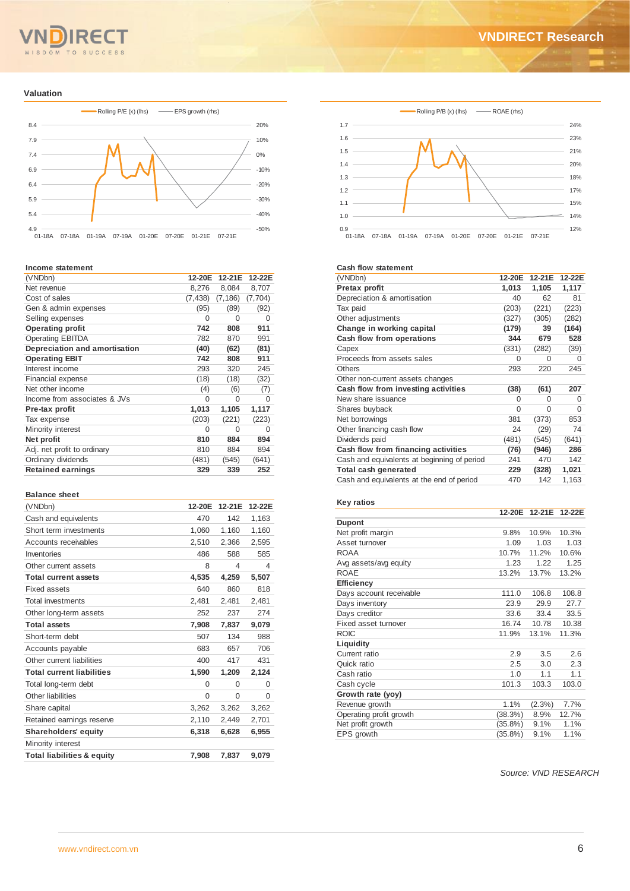# SDOM TO SUCCESS

#### **Valuation**



#### **Income statement**

| income statement              |          |          |          |
|-------------------------------|----------|----------|----------|
| (VNDbn)                       | 12-20E   | 12-21E   | 12-22E   |
| Net revenue                   | 8,276    | 8,084    | 8,707    |
| Cost of sales                 | (7, 438) | (7, 186) | (7, 704) |
| Gen & admin expenses          | (95)     | (89)     | (92)     |
| Selling expenses              | O        | O        | 0        |
| <b>Operating profit</b>       | 742      | 808      | 911      |
| <b>Operating EBITDA</b>       | 782      | 870      | 991      |
| Depreciation and amortisation | (40)     | (62)     | (81)     |
| <b>Operating EBIT</b>         | 742      | 808      | 911      |
| Interest income               | 293      | 320      | 245      |
| Financial expense             | (18)     | (18)     | (32)     |
| Net other income              | (4)      | (6)      | (7)      |
| Income from associates & JVs  | 0        | 0        | 0        |
| Pre-tax profit                | 1,013    | 1,105    | 1,117    |
| Tax expense                   | (203)    | (221)    | (223)    |
| Minority interest             | 0        | O        | O        |
| Net profit                    | 810      | 884      | 894      |
| Adj. net profit to ordinary   | 810      | 884      | 894      |
| Ordinary dividends            | (481)    | (545)    | (641)    |
| <b>Retained earnings</b>      | 329      | 339      | 252      |
|                               |          |          |          |

#### **Balance sheet**

| (VNDbn)                               | 12-20E   | 12-21E   | 12-22E   |
|---------------------------------------|----------|----------|----------|
| Cash and equivalents                  | 470      | 142      | 1,163    |
| Short term investments                | 1,060    | 1,160    | 1.160    |
| Accounts receivables                  | 2,510    | 2.366    | 2.595    |
| Inventories                           | 486      | 588      | 585      |
| Other current assets                  | 8        | 4        | 4        |
| <b>Total current assets</b>           | 4,535    | 4,259    | 5,507    |
| Fixed assets                          | 640      | 860      | 818      |
| <b>Total investments</b>              | 2,481    | 2.481    | 2.481    |
| Other long-term assets                | 252      | 237      | 274      |
| <b>Total assets</b>                   | 7,908    | 7,837    | 9,079    |
| Short-term debt                       | 507      | 134      | 988      |
| Accounts payable                      | 683      | 657      | 706      |
| Other current liabilities             | 400      | 417      | 431      |
| <b>Total current liabilities</b>      | 1,590    | 1,209    | 2,124    |
| Total long-term debt                  | $\Omega$ | $\Omega$ | $\Omega$ |
| Other liabilities                     | $\Omega$ | 0        | 0        |
| Share capital                         | 3,262    | 3,262    | 3,262    |
| Retained earnings reserve             | 2,110    | 2,449    | 2,701    |
| <b>Shareholders' equity</b>           | 6,318    | 6,628    | 6,955    |
| Minority interest                     |          |          |          |
| <b>Total liabilities &amp; equity</b> | 7.908    | 7,837    | 9.079    |



#### **Cash flow statement**

| (VNDbn)                                     | 12-20E   | 12-21E | 12-22E   |
|---------------------------------------------|----------|--------|----------|
| Pretax profit                               | 1,013    | 1,105  | 1,117    |
| Depreciation & amortisation                 | 40       | 62     | 81       |
| Tax paid                                    | (203)    | (221)  | (223)    |
| Other adjustments                           | (327)    | (305)  | (282)    |
| Change in working capital                   | (179)    | 39     | (164)    |
| Cash flow from operations                   | 344      | 679    | 528      |
| Capex                                       | (331)    | (282)  | (39)     |
| Proceeds from assets sales                  | O        | O      | $\Omega$ |
| Others                                      | 293      | 220    | 245      |
| Other non-current assets changes            |          |        |          |
| Cash flow from investing activities         | (38)     | (61)   | 207      |
| New share issuance                          | O        | O      | $\Omega$ |
| Shares buyback                              | $\Omega$ | 0      | 0        |
| Net borrowings                              | 381      | (373)  | 853      |
| Other financing cash flow                   | 24       | (29)   | 74       |
| Dividends paid                              | (481)    | (545)  | (641)    |
| Cash flow from financing activities         | (76)     | (946)  | 286      |
| Cash and equivalents at beginning of period | 241      | 470    | 142      |
| Total cash generated                        | 229      | (328)  | 1,021    |
| Cash and equivalents at the end of period   | 470      | 142    | 1,163    |

| <b>Key ratios</b>       |            |           |        |
|-------------------------|------------|-----------|--------|
|                         | 12-20E     | 12-21E    | 12-22E |
| <b>Dupont</b>           |            |           |        |
| Net profit margin       | 9.8%       | 10.9%     | 10.3%  |
| Asset turnover          | 1.09       | 1.03      | 1.03   |
| <b>ROAA</b>             | 10.7%      | 11.2%     | 10.6%  |
| Avg assets/avg equity   | 1.23       | 1.22      | 1.25   |
| <b>ROAE</b>             | 13.2%      | 13.7%     | 13.2%  |
| <b>Efficiency</b>       |            |           |        |
| Days account receivable | 111.0      | 106.8     | 108.8  |
| Days inventory          | 23.9       | 29.9      | 27.7   |
| Days creditor           | 33.6       | 33.4      | 33.5   |
| Fixed asset turnover    | 16.74      | 10.78     | 10.38  |
| <b>ROIC</b>             | 11.9%      | 13.1%     | 11.3%  |
| Liquidity               |            |           |        |
| Current ratio           | 2.9        | 3.5       | 26     |
| Quick ratio             | 2.5        | 3.0       | 2.3    |
| Cash ratio              | 1.0        | 1.1       | 1.1    |
| Cash cycle              | 101.3      | 103.3     | 103.0  |
| Growth rate (yoy)       |            |           |        |
| Revenue growth          | 1.1%       | $(2.3\%)$ | 7.7%   |
| Operating profit growth | (38.3%)    | 8.9%      | 12.7%  |
| Net profit growth       | $(35.8\%)$ | 9.1%      | 1.1%   |
| EPS growth              | $(35.8\%)$ | 9.1%      | 1.1%   |

*Source: VND RESEARCH*